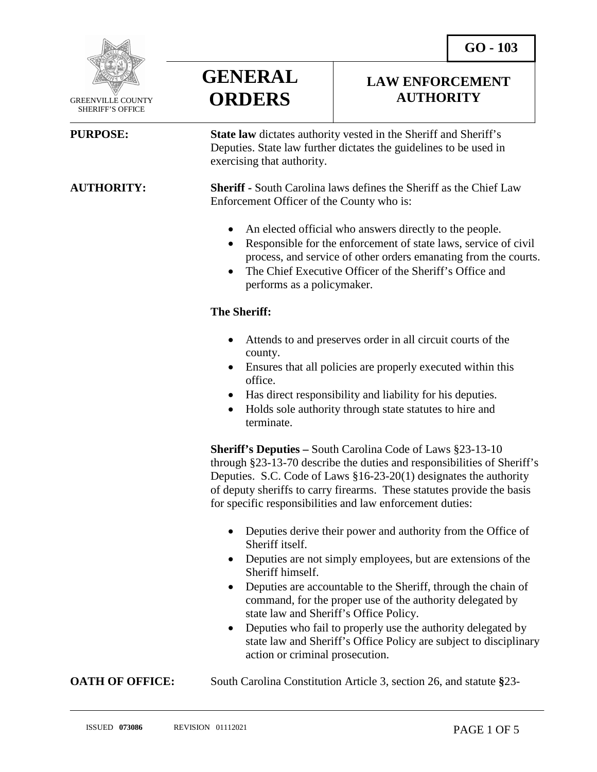

 GREENVILLE COUNTY SHERIFF'S OFFICE

l



### **LAW ENFORCEMENT AUTHORITY**

**PURPOSE: State law** dictates authority vested in the Sheriff and Sheriff's Deputies. State law further dictates the guidelines to be used in exercising that authority.

**AUTHORITY: Sheriff -** South Carolina laws defines the Sheriff as the Chief Law Enforcement Officer of the County who is:

- An elected official who answers directly to the people.
- Responsible for the enforcement of state laws, service of civil process, and service of other orders emanating from the courts.
- The Chief Executive Officer of the Sheriff's Office and performs as a policymaker.

#### **The Sheriff:**

- Attends to and preserves order in all circuit courts of the county.
- Ensures that all policies are properly executed within this office.
- Has direct responsibility and liability for his deputies.
- Holds sole authority through state statutes to hire and terminate.

**Sheriff's Deputies –** South Carolina Code of Laws §23-13-10 through §23-13-70 describe the duties and responsibilities of Sheriff's Deputies. S.C. Code of Laws §16-23-20(1) designates the authority of deputy sheriffs to carry firearms. These statutes provide the basis for specific responsibilities and law enforcement duties:

- Deputies derive their power and authority from the Office of Sheriff itself.
- Deputies are not simply employees, but are extensions of the Sheriff himself.
- Deputies are accountable to the Sheriff, through the chain of command, for the proper use of the authority delegated by state law and Sheriff's Office Policy.
- Deputies who fail to properly use the authority delegated by state law and Sheriff's Office Policy are subject to disciplinary action or criminal prosecution.

**OATH OF OFFICE:** South Carolina Constitution Article 3, section 26, and statute §23-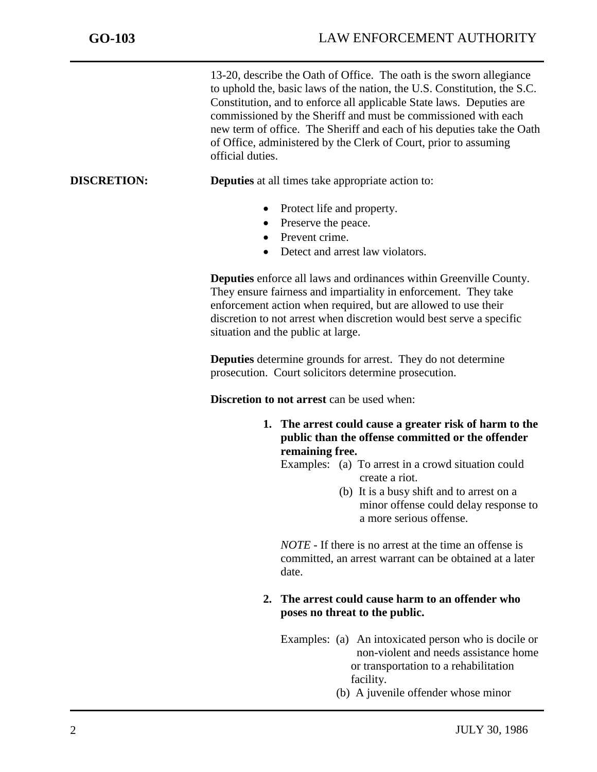13-20, describe the Oath of Office. The oath is the sworn allegiance to uphold the, basic laws of the nation, the U.S. Constitution, the S.C. Constitution, and to enforce all applicable State laws. Deputies are commissioned by the Sheriff and must be commissioned with each new term of office. The Sheriff and each of his deputies take the Oath of Office, administered by the Clerk of Court, prior to assuming official duties.

### **DISCRETION: Deputies** at all times take appropriate action to:

- Protect life and property.
- Preserve the peace.
- Prevent crime.
- Detect and arrest law violators.

**Deputies** enforce all laws and ordinances within Greenville County. They ensure fairness and impartiality in enforcement. They take enforcement action when required, but are allowed to use their discretion to not arrest when discretion would best serve a specific situation and the public at large.

**Deputies** determine grounds for arrest. They do not determine prosecution. Court solicitors determine prosecution.

**Discretion to not arrest** can be used when:

**1. The arrest could cause a greater risk of harm to the public than the offense committed or the offender remaining free.** 

Examples: (a) To arrest in a crowd situation could create a riot.

> (b) It is a busy shift and to arrest on a minor offense could delay response to a more serious offense.

*NOTE* - If there is no arrest at the time an offense is committed, an arrest warrant can be obtained at a later date.

#### **2. The arrest could cause harm to an offender who poses no threat to the public.**

- Examples: (a) An intoxicated person who is docile or non-violent and needs assistance home or transportation to a rehabilitation facility.
	- (b) A juvenile offender whose minor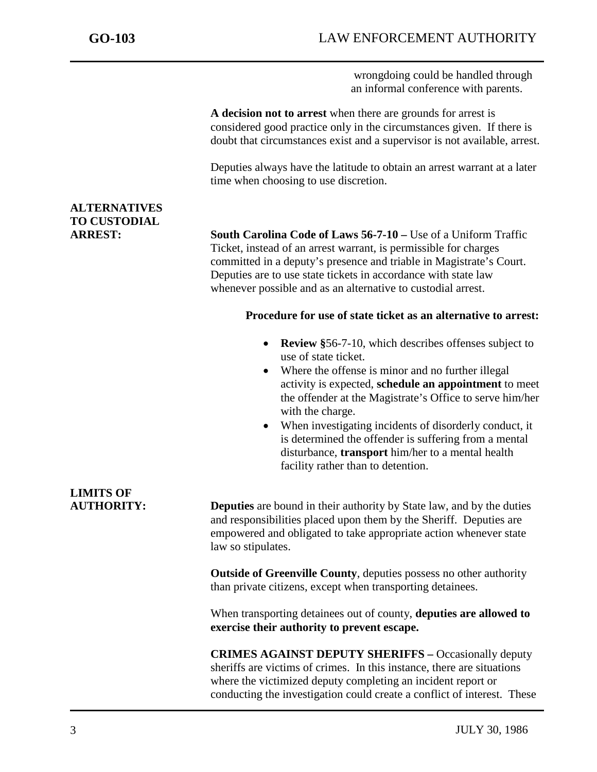wrongdoing could be handled through an informal conference with parents.

**A decision not to arrest** when there are grounds for arrest is considered good practice only in the circumstances given. If there is doubt that circumstances exist and a supervisor is not available, arrest.

Deputies always have the latitude to obtain an arrest warrant at a later time when choosing to use discretion.

## **ALTERNATIVES TO CUSTODIAL**

**ARREST: South Carolina Code of Laws 56-7-10 –** Use of a Uniform Traffic Ticket, instead of an arrest warrant, is permissible for charges committed in a deputy's presence and triable in Magistrate's Court. Deputies are to use state tickets in accordance with state law whenever possible and as an alternative to custodial arrest.

#### **Procedure for use of state ticket as an alternative to arrest:**

- **Review §**56-7-10, which describes offenses subject to use of state ticket.
- Where the offense is minor and no further illegal activity is expected, **schedule an appointment** to meet the offender at the Magistrate's Office to serve him/her with the charge.
- When investigating incidents of disorderly conduct, it is determined the offender is suffering from a mental disturbance, **transport** him/her to a mental health facility rather than to detention.

# **LIMITS OF**

**AUTHORITY: Deputies** are bound in their authority by State law, and by the duties and responsibilities placed upon them by the Sheriff. Deputies are empowered and obligated to take appropriate action whenever state law so stipulates.

> **Outside of Greenville County**, deputies possess no other authority than private citizens, except when transporting detainees.

When transporting detainees out of county, **deputies are allowed to exercise their authority to prevent escape.**

**CRIMES AGAINST DEPUTY SHERIFFS –** Occasionally deputy sheriffs are victims of crimes. In this instance, there are situations where the victimized deputy completing an incident report or conducting the investigation could create a conflict of interest. These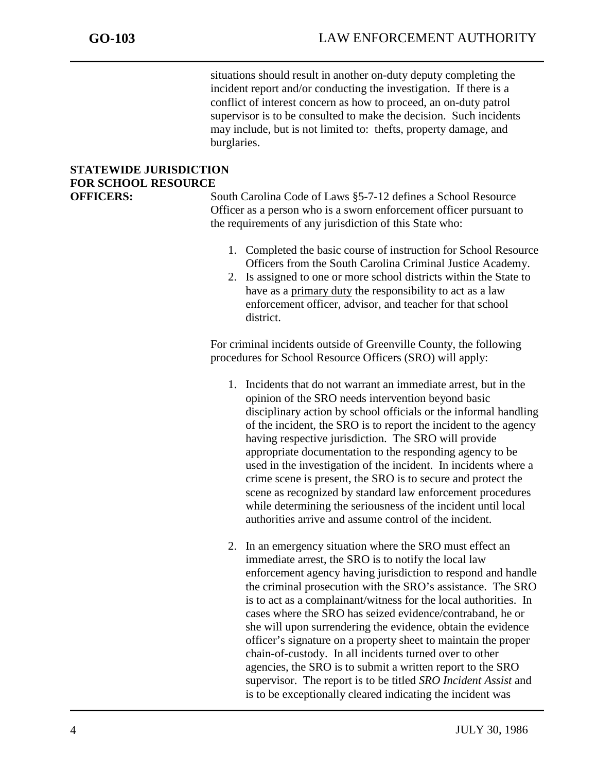situations should result in another on-duty deputy completing the incident report and/or conducting the investigation. If there is a conflict of interest concern as how to proceed, an on-duty patrol supervisor is to be consulted to make the decision. Such incidents may include, but is not limited to: thefts, property damage, and burglaries.

## **STATEWIDE JURISDICTION FOR SCHOOL RESOURCE**

**OFFICERS:** South Carolina Code of Laws §5-7-12 defines a School Resource Officer as a person who is a sworn enforcement officer pursuant to the requirements of any jurisdiction of this State who:

- 1. Completed the basic course of instruction for School Resource Officers from the South Carolina Criminal Justice Academy.
- 2. Is assigned to one or more school districts within the State to have as a primary duty the responsibility to act as a law enforcement officer, advisor, and teacher for that school district.

For criminal incidents outside of Greenville County, the following procedures for School Resource Officers (SRO) will apply:

- 1. Incidents that do not warrant an immediate arrest, but in the opinion of the SRO needs intervention beyond basic disciplinary action by school officials or the informal handling of the incident, the SRO is to report the incident to the agency having respective jurisdiction. The SRO will provide appropriate documentation to the responding agency to be used in the investigation of the incident. In incidents where a crime scene is present, the SRO is to secure and protect the scene as recognized by standard law enforcement procedures while determining the seriousness of the incident until local authorities arrive and assume control of the incident.
- 2. In an emergency situation where the SRO must effect an immediate arrest, the SRO is to notify the local law enforcement agency having jurisdiction to respond and handle the criminal prosecution with the SRO's assistance. The SRO is to act as a complainant/witness for the local authorities. In cases where the SRO has seized evidence/contraband, he or she will upon surrendering the evidence, obtain the evidence officer's signature on a property sheet to maintain the proper chain-of-custody. In all incidents turned over to other agencies, the SRO is to submit a written report to the SRO supervisor. The report is to be titled *SRO Incident Assist* and is to be exceptionally cleared indicating the incident was